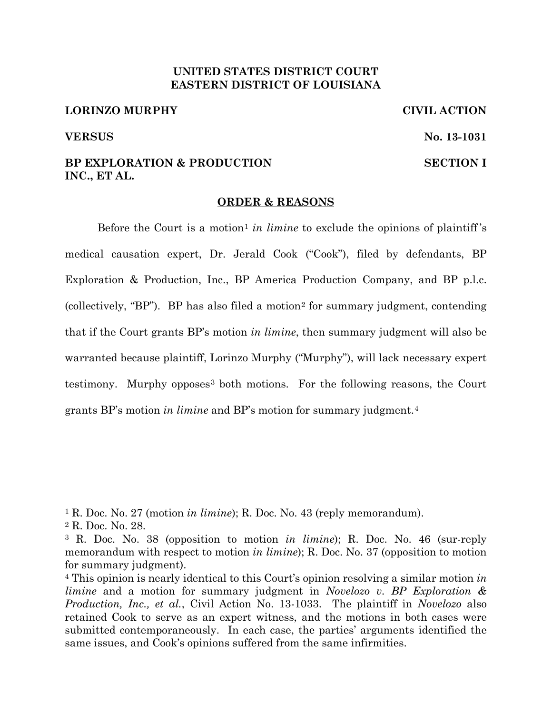# **UNITED STATES DISTRICT COURT EASTERN DISTRICT OF LOUISIANA**

# **LORINZO MURPHY CIVIL ACTION**

### **VERSUS No. 13-1031**

# **BP EXPLORATION & PRODUCTION SECTION I INC., ET AL.**

# **ORDER & REASONS**

Before the Court is a motion<sup>1</sup> *in limine* to exclude the opinions of plaintiff's medical causation expert, Dr. Jerald Cook ("Cook"), filed by defendants, BP Exploration & Production, Inc., BP America Production Company, and BP p.l.c. (collectively, "BP"). BP has also filed a motion2 for summary judgment, contending that if the Court grants BP's motion *in limine*, then summary judgment will also be warranted because plaintiff, Lorinzo Murphy ("Murphy"), will lack necessary expert testimony. Murphy opposes<sup>3</sup> both motions. For the following reasons, the Court grants BP's motion *in limine* and BP's motion for summary judgment.4

<sup>1</sup> R. Doc. No. 27 (motion *in limine*); R. Doc. No. 43 (reply memorandum).

<sup>2</sup> R. Doc. No. 28.

<sup>3</sup> R. Doc. No. 38 (opposition to motion *in limine*); R. Doc. No. 46 (sur-reply memorandum with respect to motion *in limine*); R. Doc. No. 37 (opposition to motion for summary judgment).

<sup>4</sup> This opinion is nearly identical to this Court's opinion resolving a similar motion *in limine* and a motion for summary judgment in *Novelozo v. BP Exploration & Production, Inc., et al.*, Civil Action No. 13-1033. The plaintiff in *Novelozo* also retained Cook to serve as an expert witness, and the motions in both cases were submitted contemporaneously. In each case, the parties' arguments identified the same issues, and Cook's opinions suffered from the same infirmities.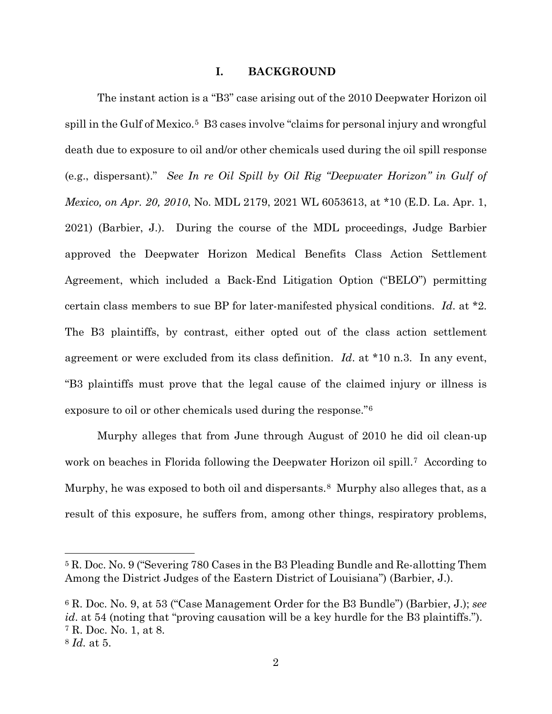#### **I. BACKGROUND**

The instant action is a "B3" case arising out of the 2010 Deepwater Horizon oil spill in the Gulf of Mexico.<sup>5</sup> B3 cases involve "claims for personal injury and wrongful death due to exposure to oil and/or other chemicals used during the oil spill response (e.g., dispersant)." *See In re Oil Spill by Oil Rig "Deepwater Horizon" in Gulf of Mexico, on Apr. 20, 2010*, No. MDL 2179, 2021 WL 6053613, at \*10 (E.D. La. Apr. 1, 2021) (Barbier, J.). During the course of the MDL proceedings, Judge Barbier approved the Deepwater Horizon Medical Benefits Class Action Settlement Agreement, which included a Back-End Litigation Option ("BELO") permitting certain class members to sue BP for later-manifested physical conditions. *Id*. at \*2. The B3 plaintiffs, by contrast, either opted out of the class action settlement agreement or were excluded from its class definition. *Id*. at \*10 n.3. In any event, "B3 plaintiffs must prove that the legal cause of the claimed injury or illness is exposure to oil or other chemicals used during the response."6

Murphy alleges that from June through August of 2010 he did oil clean-up work on beaches in Florida following the Deepwater Horizon oil spill.<sup>7</sup> According to Murphy, he was exposed to both oil and dispersants.<sup>8</sup> Murphy also alleges that, as a result of this exposure, he suffers from, among other things, respiratory problems,

<sup>6</sup> R. Doc. No. 9, at 53 ("Case Management Order for the B3 Bundle") (Barbier, J.); *see id*. at 54 (noting that "proving causation will be a key hurdle for the B3 plaintiffs."). <sup>7</sup> R. Doc. No. 1, at 8.

<sup>5</sup> R. Doc. No. 9 ("Severing 780 Cases in the B3 Pleading Bundle and Re-allotting Them Among the District Judges of the Eastern District of Louisiana") (Barbier, J.).

<sup>8</sup> *Id.* at 5.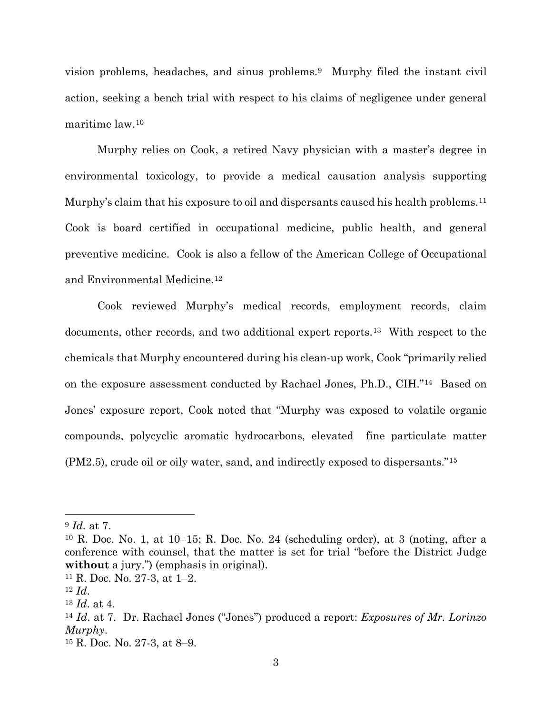vision problems, headaches, and sinus problems.9 Murphy filed the instant civil action, seeking a bench trial with respect to his claims of negligence under general maritime law.10

Murphy relies on Cook, a retired Navy physician with a master's degree in environmental toxicology, to provide a medical causation analysis supporting Murphy's claim that his exposure to oil and dispersants caused his health problems.11 Cook is board certified in occupational medicine, public health, and general preventive medicine. Cook is also a fellow of the American College of Occupational and Environmental Medicine.12

Cook reviewed Murphy's medical records, employment records, claim documents, other records, and two additional expert reports.13 With respect to the chemicals that Murphy encountered during his clean-up work, Cook "primarily relied on the exposure assessment conducted by Rachael Jones, Ph.D., CIH."14 Based on Jones' exposure report, Cook noted that "Murphy was exposed to volatile organic compounds, polycyclic aromatic hydrocarbons, elevated fine particulate matter (PM2.5), crude oil or oily water, sand, and indirectly exposed to dispersants."15

<sup>9</sup> *Id.* at 7.

<sup>10</sup> R. Doc. No. 1, at 10–15; R. Doc. No. 24 (scheduling order), at 3 (noting, after a conference with counsel, that the matter is set for trial "before the District Judge **without** a jury.") (emphasis in original).

<sup>11</sup> R. Doc. No. 27-3, at 1–2. 12 *Id*.

<sup>13</sup> *Id*. at 4.

<sup>14</sup> *Id*. at 7. Dr. Rachael Jones ("Jones") produced a report: *Exposures of Mr. Lorinzo Murphy*.

<sup>15</sup> R. Doc. No. 27-3, at 8–9.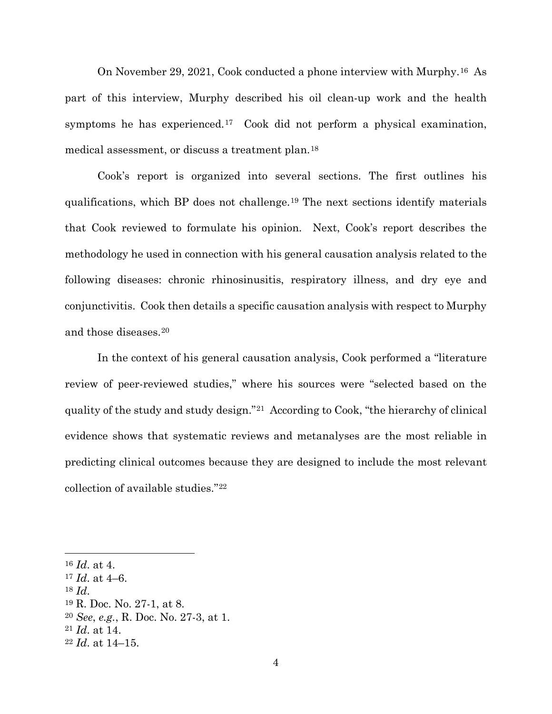On November 29, 2021, Cook conducted a phone interview with Murphy.16 As part of this interview, Murphy described his oil clean-up work and the health symptoms he has experienced.<sup>17</sup> Cook did not perform a physical examination, medical assessment, or discuss a treatment plan.18

Cook's report is organized into several sections. The first outlines his qualifications, which BP does not challenge.19 The next sections identify materials that Cook reviewed to formulate his opinion. Next, Cook's report describes the methodology he used in connection with his general causation analysis related to the following diseases: chronic rhinosinusitis, respiratory illness, and dry eye and conjunctivitis. Cook then details a specific causation analysis with respect to Murphy and those diseases.20

In the context of his general causation analysis, Cook performed a "literature review of peer-reviewed studies," where his sources were "selected based on the quality of the study and study design."21 According to Cook, "the hierarchy of clinical evidence shows that systematic reviews and metanalyses are the most reliable in predicting clinical outcomes because they are designed to include the most relevant collection of available studies."22

<sup>16</sup> *Id*. at 4.

<sup>17</sup> *Id*. at 4–6.

<sup>18</sup> *Id*. 19 R. Doc. No. 27-1, at 8.

<sup>20</sup> *See*, *e.g.*, R. Doc. No. 27-3, at 1.

<sup>21</sup> *Id*. at 14.

<sup>22</sup> *Id*. at 14–15.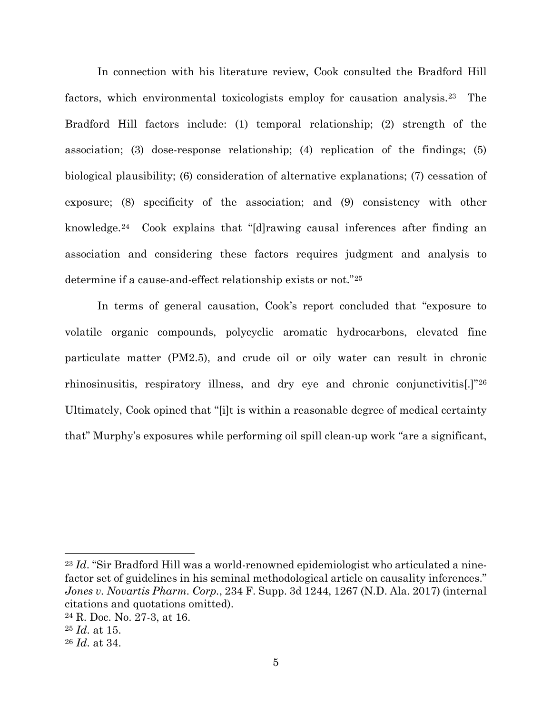In connection with his literature review, Cook consulted the Bradford Hill factors, which environmental toxicologists employ for causation analysis.23 The Bradford Hill factors include: (1) temporal relationship; (2) strength of the association; (3) dose-response relationship; (4) replication of the findings; (5) biological plausibility; (6) consideration of alternative explanations; (7) cessation of exposure; (8) specificity of the association; and (9) consistency with other knowledge.24 Cook explains that "[d]rawing causal inferences after finding an association and considering these factors requires judgment and analysis to determine if a cause-and-effect relationship exists or not."25

In terms of general causation, Cook's report concluded that "exposure to volatile organic compounds, polycyclic aromatic hydrocarbons, elevated fine particulate matter (PM2.5), and crude oil or oily water can result in chronic rhinosinusitis, respiratory illness, and dry eye and chronic conjunctivitis[.]"26 Ultimately, Cook opined that "[i]t is within a reasonable degree of medical certainty that" Murphy's exposures while performing oil spill clean-up work "are a significant,

<sup>23</sup> *Id*. "Sir Bradford Hill was a world-renowned epidemiologist who articulated a ninefactor set of guidelines in his seminal methodological article on causality inferences." *Jones v. Novartis Pharm. Corp.*, 234 F. Supp. 3d 1244, 1267 (N.D. Ala. 2017) (internal citations and quotations omitted).

<sup>24</sup> R. Doc. No. 27-3, at 16.

<sup>25</sup> *Id*. at 15.

<sup>26</sup> *Id*. at 34.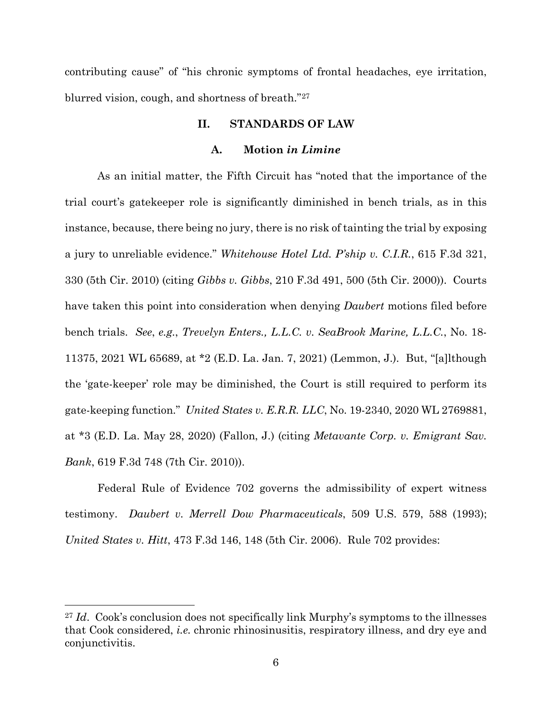contributing cause" of "his chronic symptoms of frontal headaches, eye irritation, blurred vision, cough, and shortness of breath."27

### **II. STANDARDS OF LAW**

#### **A. Motion** *in Limine*

As an initial matter, the Fifth Circuit has "noted that the importance of the trial court's gatekeeper role is significantly diminished in bench trials, as in this instance, because, there being no jury, there is no risk of tainting the trial by exposing a jury to unreliable evidence." *Whitehouse Hotel Ltd. P'ship v. C.I.R.*, 615 F.3d 321, 330 (5th Cir. 2010) (citing *Gibbs v. Gibbs*, 210 F.3d 491, 500 (5th Cir. 2000)). Courts have taken this point into consideration when denying *Daubert* motions filed before bench trials. *See*, *e.g.*, *Trevelyn Enters., L.L.C. v. SeaBrook Marine, L.L.C.*, No. 18- 11375, 2021 WL 65689, at \*2 (E.D. La. Jan. 7, 2021) (Lemmon, J.). But, "[a]lthough the 'gate-keeper' role may be diminished, the Court is still required to perform its gate-keeping function." *United States v. E.R.R. LLC*, No. 19-2340, 2020 WL 2769881, at \*3 (E.D. La. May 28, 2020) (Fallon, J.) (citing *Metavante Corp. v. Emigrant Sav. Bank*, 619 F.3d 748 (7th Cir. 2010)).

Federal Rule of Evidence 702 governs the admissibility of expert witness testimony. *Daubert v. Merrell Dow Pharmaceuticals*, 509 U.S. 579, 588 (1993); *United States v. Hitt*, 473 F.3d 146, 148 (5th Cir. 2006). Rule 702 provides:

<sup>27</sup> *Id*. Cook's conclusion does not specifically link Murphy's symptoms to the illnesses that Cook considered, *i.e.* chronic rhinosinusitis, respiratory illness, and dry eye and conjunctivitis.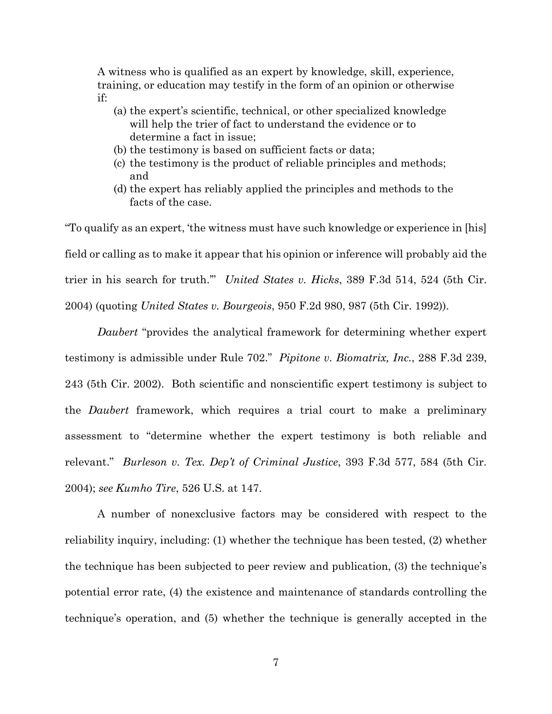A witness who is qualified as an expert by knowledge, skill, experience, training, or education may testify in the form of an opinion or otherwise if:

- (a) the expert's scientific, technical, or other specialized knowledge will help the trier of fact to understand the evidence or to determine a fact in issue;
- (b) the testimony is based on sufficient facts or data;
- (c) the testimony is the product of reliable principles and methods; and
- (d) the expert has reliably applied the principles and methods to the facts of the case.

"To qualify as an expert, 'the witness must have such knowledge or experience in [his] field or calling as to make it appear that his opinion or inference will probably aid the trier in his search for truth.'" *United States v. Hicks*, 389 F.3d 514, 524 (5th Cir. 2004) (quoting *United States v. Bourgeois*, 950 F.2d 980, 987 (5th Cir. 1992)).

*Daubert* "provides the analytical framework for determining whether expert testimony is admissible under Rule 702." *Pipitone v. Biomatrix, Inc.*, 288 F.3d 239, 243 (5th Cir. 2002). Both scientific and nonscientific expert testimony is subject to the *Daubert* framework, which requires a trial court to make a preliminary assessment to "determine whether the expert testimony is both reliable and relevant." *Burleson v. Tex. Dep't of Criminal Justice*, 393 F.3d 577, 584 (5th Cir. 2004); *see Kumho Tire*, 526 U.S. at 147.

A number of nonexclusive factors may be considered with respect to the reliability inquiry, including: (1) whether the technique has been tested, (2) whether the technique has been subjected to peer review and publication, (3) the technique's potential error rate, (4) the existence and maintenance of standards controlling the technique's operation, and (5) whether the technique is generally accepted in the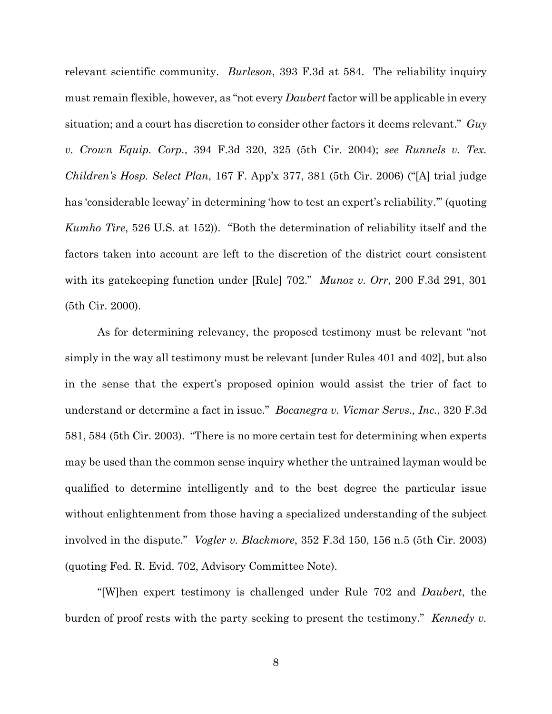relevant scientific community. *Burleson*, 393 F.3d at 584. The reliability inquiry must remain flexible, however, as "not every *Daubert* factor will be applicable in every situation; and a court has discretion to consider other factors it deems relevant." *Guy v. Crown Equip. Corp.*, 394 F.3d 320, 325 (5th Cir. 2004); *see Runnels v. Tex. Children's Hosp. Select Plan*, 167 F. App'x 377, 381 (5th Cir. 2006) ("[A] trial judge has 'considerable leeway' in determining 'how to test an expert's reliability.'" (quoting *Kumho Tire*, 526 U.S. at 152)). "Both the determination of reliability itself and the factors taken into account are left to the discretion of the district court consistent with its gatekeeping function under [Rule] 702." *Munoz v. Orr*, 200 F.3d 291, 301 (5th Cir. 2000).

As for determining relevancy, the proposed testimony must be relevant "not simply in the way all testimony must be relevant [under Rules 401 and 402], but also in the sense that the expert's proposed opinion would assist the trier of fact to understand or determine a fact in issue." *Bocanegra v. Vicmar Servs., Inc.*, 320 F.3d 581, 584 (5th Cir. 2003). "There is no more certain test for determining when experts may be used than the common sense inquiry whether the untrained layman would be qualified to determine intelligently and to the best degree the particular issue without enlightenment from those having a specialized understanding of the subject involved in the dispute." *Vogler v. Blackmore*, 352 F.3d 150, 156 n.5 (5th Cir. 2003) (quoting Fed. R. Evid. 702, Advisory Committee Note).

"[W]hen expert testimony is challenged under Rule 702 and *Daubert*, the burden of proof rests with the party seeking to present the testimony." *Kennedy v.*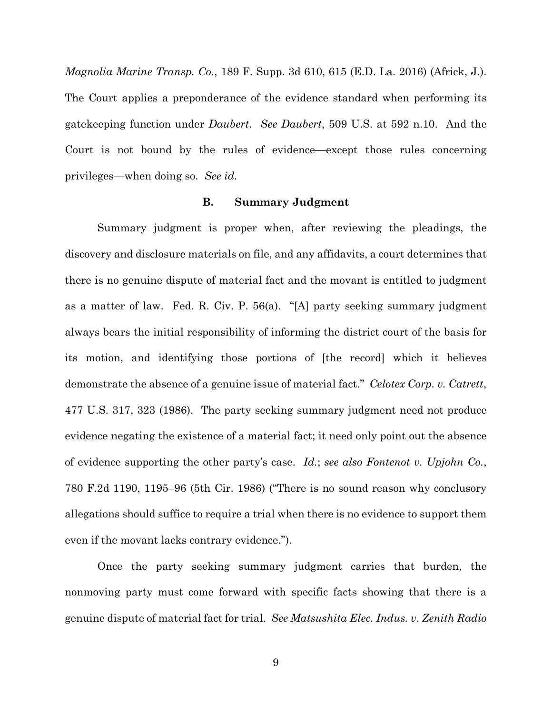*Magnolia Marine Transp. Co.*, 189 F. Supp. 3d 610, 615 (E.D. La. 2016) (Africk, J.). The Court applies a preponderance of the evidence standard when performing its gatekeeping function under *Daubert*. *See Daubert*, 509 U.S. at 592 n.10. And the Court is not bound by the rules of evidence—except those rules concerning privileges—when doing so. *See id.*

#### **B. Summary Judgment**

Summary judgment is proper when, after reviewing the pleadings, the discovery and disclosure materials on file, and any affidavits, a court determines that there is no genuine dispute of material fact and the movant is entitled to judgment as a matter of law. Fed. R. Civ. P. 56(a). "[A] party seeking summary judgment always bears the initial responsibility of informing the district court of the basis for its motion, and identifying those portions of [the record] which it believes demonstrate the absence of a genuine issue of material fact." *Celotex Corp. v. Catrett*, 477 U.S. 317, 323 (1986). The party seeking summary judgment need not produce evidence negating the existence of a material fact; it need only point out the absence of evidence supporting the other party's case. *Id.*; *see also Fontenot v. Upjohn Co.*, 780 F.2d 1190, 1195–96 (5th Cir. 1986) ("There is no sound reason why conclusory allegations should suffice to require a trial when there is no evidence to support them even if the movant lacks contrary evidence.").

Once the party seeking summary judgment carries that burden, the nonmoving party must come forward with specific facts showing that there is a genuine dispute of material fact for trial. *See Matsushita Elec. Indus. v. Zenith Radio*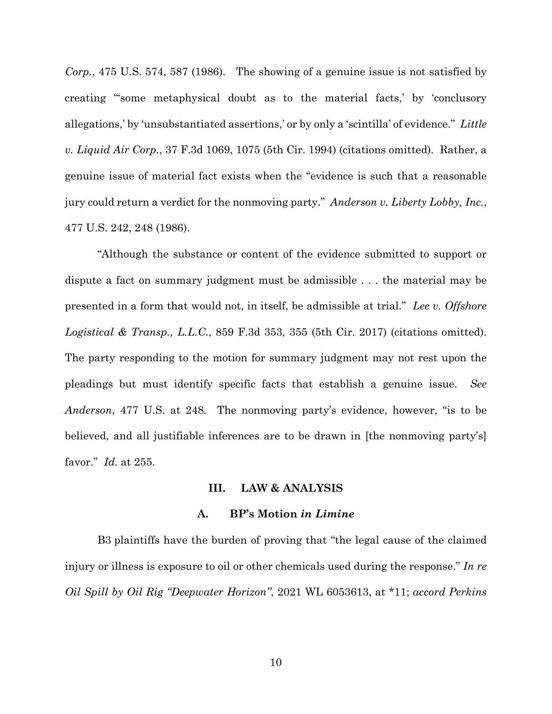*Corp.*, 475 U.S. 574, 587 (1986). The showing of a genuine issue is not satisfied by creating "'some metaphysical doubt as to the material facts,' by 'conclusory allegations,' by 'unsubstantiated assertions,' or by only a 'scintilla' of evidence." *Little v. Liquid Air Corp.*, 37 F.3d 1069, 1075 (5th Cir. 1994) (citations omitted). Rather, a genuine issue of material fact exists when the "evidence is such that a reasonable jury could return a verdict for the nonmoving party." *Anderson v. Liberty Lobby, Inc.*, 477 U.S. 242, 248 (1986).

"Although the substance or content of the evidence submitted to support or dispute a fact on summary judgment must be admissible . . . the material may be presented in a form that would not, in itself, be admissible at trial." *Lee v. Offshore Logistical & Transp., L.L.C.*, 859 F.3d 353, 355 (5th Cir. 2017) (citations omitted). The party responding to the motion for summary judgment may not rest upon the pleadings but must identify specific facts that establish a genuine issue. *See Anderson*, 477 U.S. at 248*.* The nonmoving party's evidence, however, "is to be believed, and all justifiable inferences are to be drawn in [the nonmoving party's] favor." *Id.* at 255.

#### **III. LAW & ANALYSIS**

#### **A. BP's Motion** *in Limine*

B3 plaintiffs have the burden of proving that "the legal cause of the claimed injury or illness is exposure to oil or other chemicals used during the response." *In re Oil Spill by Oil Rig "Deepwater Horizon"*, 2021 WL 6053613, at \*11; *accord Perkins*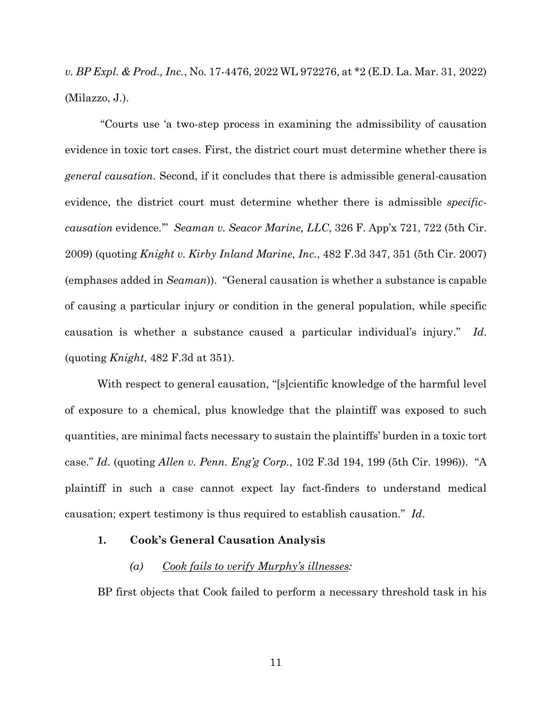*v. BP Expl. & Prod., Inc.*, No. 17-4476, 2022 WL 972276, at \*2 (E.D. La. Mar. 31, 2022) (Milazzo, J.).

 "Courts use 'a two-step process in examining the admissibility of causation evidence in toxic tort cases. First, the district court must determine whether there is *general causation*. Second, if it concludes that there is admissible general-causation evidence, the district court must determine whether there is admissible *specificcausation* evidence.'" *Seaman v. Seacor Marine, LLC*, 326 F. App'x 721, 722 (5th Cir. 2009) (quoting *Knight v. Kirby Inland Marine, Inc.*, 482 F.3d 347, 351 (5th Cir. 2007) (emphases added in *Seaman*)). "General causation is whether a substance is capable of causing a particular injury or condition in the general population, while specific causation is whether a substance caused a particular individual's injury." *Id*. (quoting *Knight*, 482 F.3d at 351).

With respect to general causation, "[s]cientific knowledge of the harmful level of exposure to a chemical, plus knowledge that the plaintiff was exposed to such quantities, are minimal facts necessary to sustain the plaintiffs' burden in a toxic tort case." *Id*. (quoting *Allen v. Penn. Eng'g Corp.*, 102 F.3d 194, 199 (5th Cir. 1996)). "A plaintiff in such a case cannot expect lay fact-finders to understand medical causation; expert testimony is thus required to establish causation." *Id*.

#### **1. Cook's General Causation Analysis**

#### *(a) Cook fails to verify Murphy's illnesses:*

BP first objects that Cook failed to perform a necessary threshold task in his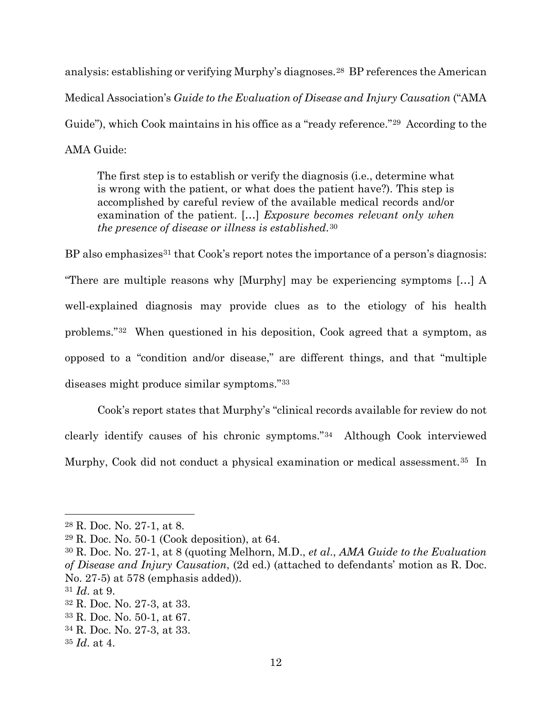analysis: establishing or verifying Murphy's diagnoses.28 BP references the American Medical Association's *Guide to the Evaluation of Disease and Injury Causation* ("AMA Guide"), which Cook maintains in his office as a "ready reference."<sup>29</sup> According to the AMA Guide:

The first step is to establish or verify the diagnosis (i.e., determine what is wrong with the patient, or what does the patient have?). This step is accomplished by careful review of the available medical records and/or examination of the patient. […] *Exposure becomes relevant only when the presence of disease or illness is established*.30

BP also emphasizes<sup>31</sup> that Cook's report notes the importance of a person's diagnosis: "There are multiple reasons why [Murphy] may be experiencing symptoms […] A well-explained diagnosis may provide clues as to the etiology of his health problems."32 When questioned in his deposition, Cook agreed that a symptom, as opposed to a "condition and/or disease," are different things, and that "multiple diseases might produce similar symptoms."33

Cook's report states that Murphy's "clinical records available for review do not clearly identify causes of his chronic symptoms."34 Although Cook interviewed Murphy, Cook did not conduct a physical examination or medical assessment.35 In

<sup>28</sup> R. Doc. No. 27-1, at 8.

<sup>29</sup> R. Doc. No. 50-1 (Cook deposition), at 64.

<sup>30</sup> R. Doc. No. 27-1, at 8 (quoting Melhorn, M.D., *et al*., *AMA Guide to the Evaluation of Disease and Injury Causation*, (2d ed.) (attached to defendants' motion as R. Doc. No. 27-5) at 578 (emphasis added)).

<sup>31</sup> *Id*. at 9.

<sup>32</sup> R. Doc. No. 27-3, at 33.

<sup>33</sup> R. Doc. No. 50-1, at 67.

<sup>34</sup> R. Doc. No. 27-3, at 33.

<sup>35</sup> *Id*. at 4.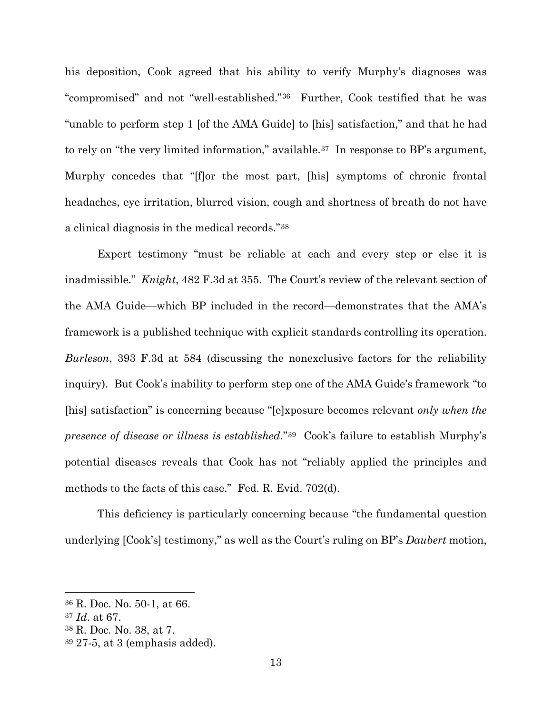his deposition, Cook agreed that his ability to verify Murphy's diagnoses was "compromised" and not "well-established."36 Further, Cook testified that he was "unable to perform step 1 [of the AMA Guide] to [his] satisfaction," and that he had to rely on "the very limited information," available.<sup>37</sup> In response to BP's argument, Murphy concedes that "[f]or the most part, [his] symptoms of chronic frontal headaches, eye irritation, blurred vision, cough and shortness of breath do not have a clinical diagnosis in the medical records."38

Expert testimony "must be reliable at each and every step or else it is inadmissible." *Knight*, 482 F.3d at 355. The Court's review of the relevant section of the AMA Guide—which BP included in the record—demonstrates that the AMA's framework is a published technique with explicit standards controlling its operation. *Burleson*, 393 F.3d at 584 (discussing the nonexclusive factors for the reliability inquiry). But Cook's inability to perform step one of the AMA Guide's framework "to [his] satisfaction" is concerning because "[e]xposure becomes relevant *only when the presence of disease or illness is established*."39 Cook's failure to establish Murphy's potential diseases reveals that Cook has not "reliably applied the principles and methods to the facts of this case." Fed. R. Evid. 702(d).

This deficiency is particularly concerning because "the fundamental question underlying [Cook's] testimony," as well as the Court's ruling on BP's *Daubert* motion,

<sup>36</sup> R. Doc. No. 50-1, at 66.

<sup>37</sup> *Id*. at 67.

<sup>38</sup> R. Doc. No. 38, at 7.

<sup>39</sup> 27-5, at 3 (emphasis added).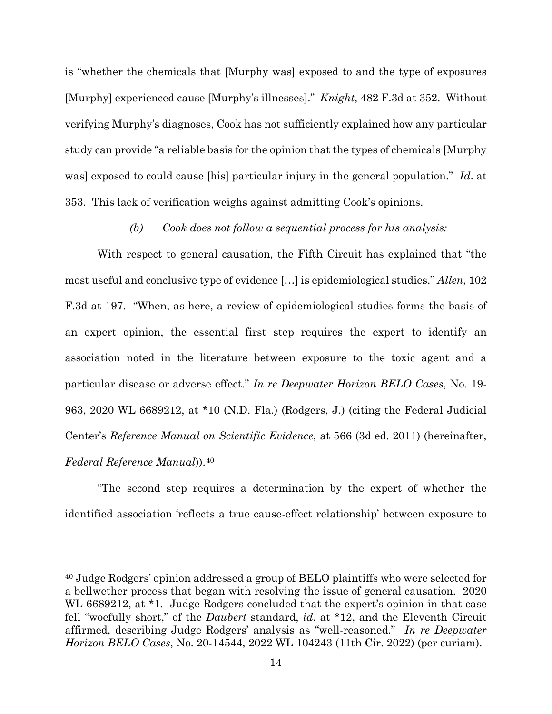is "whether the chemicals that [Murphy was] exposed to and the type of exposures [Murphy] experienced cause [Murphy's illnesses]." *Knight*, 482 F.3d at 352. Without verifying Murphy's diagnoses, Cook has not sufficiently explained how any particular study can provide "a reliable basis for the opinion that the types of chemicals [Murphy was] exposed to could cause [his] particular injury in the general population." *Id*. at 353. This lack of verification weighs against admitting Cook's opinions.

# *(b) Cook does not follow a sequential process for his analysis:*

With respect to general causation, the Fifth Circuit has explained that "the most useful and conclusive type of evidence […] is epidemiological studies." *Allen*, 102 F.3d at 197. "When, as here, a review of epidemiological studies forms the basis of an expert opinion, the essential first step requires the expert to identify an association noted in the literature between exposure to the toxic agent and a particular disease or adverse effect." *In re Deepwater Horizon BELO Cases*, No. 19- 963, 2020 WL 6689212, at \*10 (N.D. Fla.) (Rodgers, J.) (citing the Federal Judicial Center's *Reference Manual on Scientific Evidence*, at 566 (3d ed. 2011) (hereinafter, *Federal Reference Manual*)).40

"The second step requires a determination by the expert of whether the identified association 'reflects a true cause-effect relationship' between exposure to

<sup>40</sup> Judge Rodgers' opinion addressed a group of BELO plaintiffs who were selected for a bellwether process that began with resolving the issue of general causation. 2020 WL 6689212, at \*1. Judge Rodgers concluded that the expert's opinion in that case fell "woefully short," of the *Daubert* standard, *id*. at \*12, and the Eleventh Circuit affirmed, describing Judge Rodgers' analysis as "well-reasoned." *In re Deepwater Horizon BELO Cases*, No. 20-14544, 2022 WL 104243 (11th Cir. 2022) (per curiam).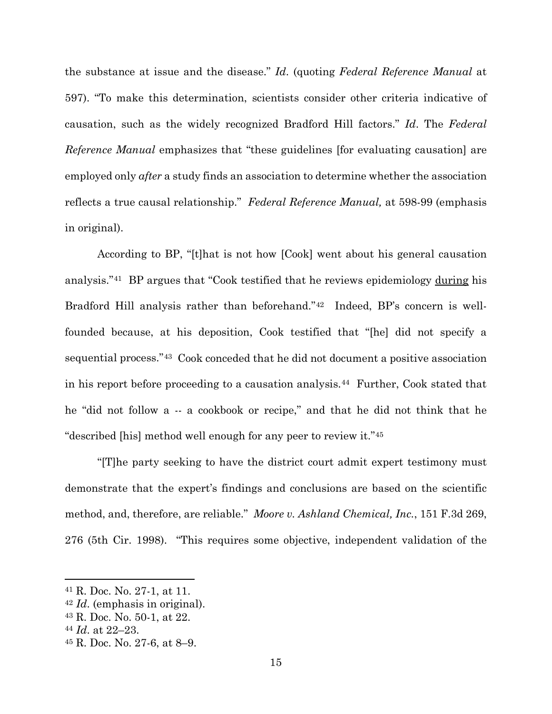the substance at issue and the disease." *Id*. (quoting *Federal Reference Manual* at 597). "To make this determination, scientists consider other criteria indicative of causation, such as the widely recognized Bradford Hill factors." *Id*. The *Federal Reference Manual* emphasizes that "these guidelines [for evaluating causation] are employed only *after* a study finds an association to determine whether the association reflects a true causal relationship." *Federal Reference Manual,* at 598-99 (emphasis in original).

According to BP, "[t]hat is not how [Cook] went about his general causation analysis."41 BP argues that "Cook testified that he reviews epidemiology during his Bradford Hill analysis rather than beforehand."42 Indeed, BP's concern is wellfounded because, at his deposition, Cook testified that "[he] did not specify a sequential process."43 Cook conceded that he did not document a positive association in his report before proceeding to a causation analysis.44 Further, Cook stated that he "did not follow a -- a cookbook or recipe," and that he did not think that he "described [his] method well enough for any peer to review it."45

 "[T]he party seeking to have the district court admit expert testimony must demonstrate that the expert's findings and conclusions are based on the scientific method, and, therefore, are reliable." *Moore v. Ashland Chemical, Inc.*, 151 F.3d 269, 276 (5th Cir. 1998). "This requires some objective, independent validation of the

<sup>41</sup> R. Doc. No. 27-1, at 11.

<sup>42</sup> *Id*. (emphasis in original).

<sup>43</sup> R. Doc. No. 50-1, at 22.

<sup>44</sup> *Id*. at 22–23. 45 R. Doc. No. 27-6, at 8–9.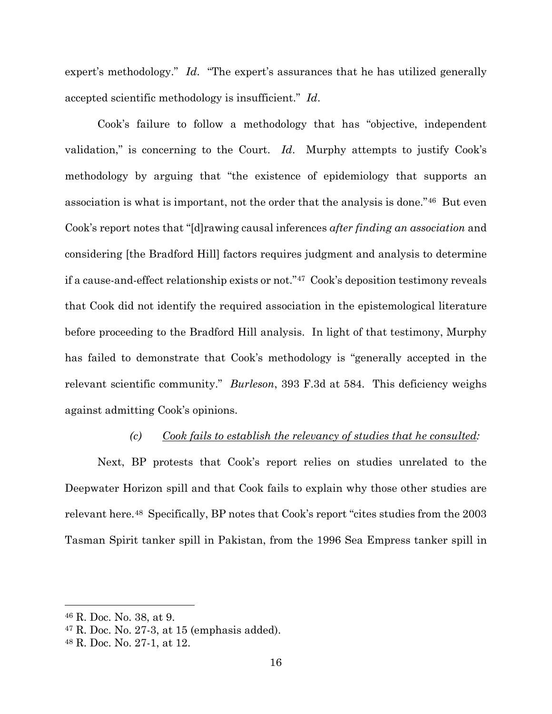expert's methodology." *Id*. "The expert's assurances that he has utilized generally accepted scientific methodology is insufficient." *Id*.

Cook's failure to follow a methodology that has "objective, independent validation," is concerning to the Court. *Id*. Murphy attempts to justify Cook's methodology by arguing that "the existence of epidemiology that supports an association is what is important, not the order that the analysis is done."46 But even Cook's report notes that "[d]rawing causal inferences *after finding an association* and considering [the Bradford Hill] factors requires judgment and analysis to determine if a cause-and-effect relationship exists or not."47 Cook's deposition testimony reveals that Cook did not identify the required association in the epistemological literature before proceeding to the Bradford Hill analysis. In light of that testimony, Murphy has failed to demonstrate that Cook's methodology is "generally accepted in the relevant scientific community." *Burleson*, 393 F.3d at 584. This deficiency weighs against admitting Cook's opinions.

#### *(c) Cook fails to establish the relevancy of studies that he consulted:*

Next, BP protests that Cook's report relies on studies unrelated to the Deepwater Horizon spill and that Cook fails to explain why those other studies are relevant here.48 Specifically, BP notes that Cook's report "cites studies from the 2003 Tasman Spirit tanker spill in Pakistan, from the 1996 Sea Empress tanker spill in

<sup>46</sup> R. Doc. No. 38, at 9.

 $47$  R. Doc. No. 27-3, at 15 (emphasis added).

<sup>48</sup> R. Doc. No. 27-1, at 12.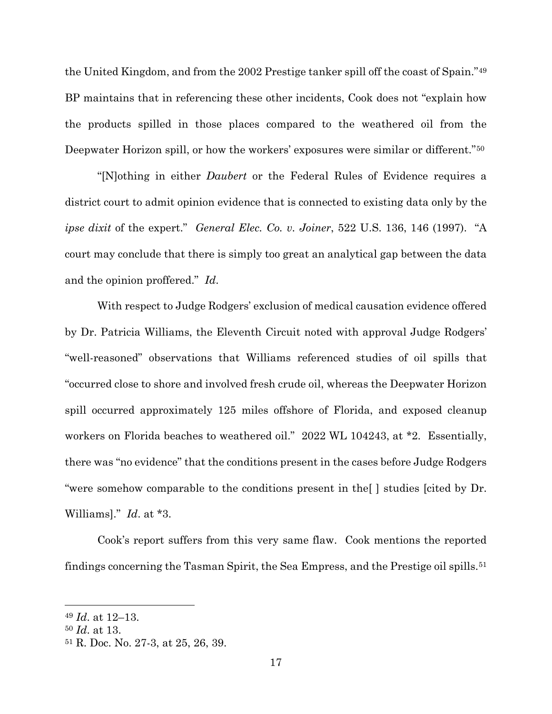the United Kingdom, and from the 2002 Prestige tanker spill off the coast of Spain."49 BP maintains that in referencing these other incidents, Cook does not "explain how the products spilled in those places compared to the weathered oil from the Deepwater Horizon spill, or how the workers' exposures were similar or different."50

"[N]othing in either *Daubert* or the Federal Rules of Evidence requires a district court to admit opinion evidence that is connected to existing data only by the *ipse dixit* of the expert." *General Elec. Co. v. Joiner*, 522 U.S. 136, 146 (1997). "A court may conclude that there is simply too great an analytical gap between the data and the opinion proffered." *Id*.

With respect to Judge Rodgers' exclusion of medical causation evidence offered by Dr. Patricia Williams, the Eleventh Circuit noted with approval Judge Rodgers' "well-reasoned" observations that Williams referenced studies of oil spills that "occurred close to shore and involved fresh crude oil, whereas the Deepwater Horizon spill occurred approximately 125 miles offshore of Florida, and exposed cleanup workers on Florida beaches to weathered oil." 2022 WL 104243, at \*2. Essentially, there was "no evidence" that the conditions present in the cases before Judge Rodgers "were somehow comparable to the conditions present in the[ ] studies [cited by Dr. Williams]." *Id*. at \*3.

Cook's report suffers from this very same flaw. Cook mentions the reported findings concerning the Tasman Spirit, the Sea Empress, and the Prestige oil spills.51

<sup>49</sup> *Id*. at 12–13.

<sup>50</sup> *Id*. at 13.

<sup>51</sup> R. Doc. No. 27-3, at 25, 26, 39.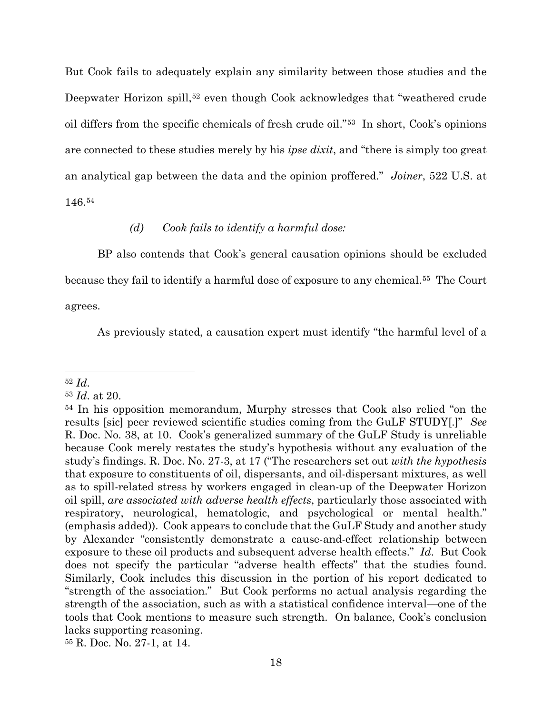But Cook fails to adequately explain any similarity between those studies and the Deepwater Horizon spill,<sup>52</sup> even though Cook acknowledges that "weathered crude oil differs from the specific chemicals of fresh crude oil."53 In short, Cook's opinions are connected to these studies merely by his *ipse dixit*, and "there is simply too great an analytical gap between the data and the opinion proffered." *Joiner*, 522 U.S. at 146.54

# *(d) Cook fails to identify a harmful dose:*

BP also contends that Cook's general causation opinions should be excluded because they fail to identify a harmful dose of exposure to any chemical.55 The Court agrees.

As previously stated, a causation expert must identify "the harmful level of a

<sup>55</sup> R. Doc. No. 27-1, at 14.

<sup>52</sup> *Id*. 53 *Id*. at 20.

<sup>54</sup> In his opposition memorandum, Murphy stresses that Cook also relied "on the results [sic] peer reviewed scientific studies coming from the GuLF STUDY[.]" *See* R. Doc. No. 38, at 10. Cook's generalized summary of the GuLF Study is unreliable because Cook merely restates the study's hypothesis without any evaluation of the study's findings. R. Doc. No. 27-3, at 17 ("The researchers set out *with the hypothesis* that exposure to constituents of oil, dispersants, and oil-dispersant mixtures, as well as to spill-related stress by workers engaged in clean-up of the Deepwater Horizon oil spill, *are associated with adverse health effects*, particularly those associated with respiratory, neurological, hematologic, and psychological or mental health." (emphasis added)). Cook appears to conclude that the GuLF Study and another study by Alexander "consistently demonstrate a cause-and-effect relationship between exposure to these oil products and subsequent adverse health effects." *Id*. But Cook does not specify the particular "adverse health effects" that the studies found. Similarly, Cook includes this discussion in the portion of his report dedicated to "strength of the association." But Cook performs no actual analysis regarding the strength of the association, such as with a statistical confidence interval—one of the tools that Cook mentions to measure such strength. On balance, Cook's conclusion lacks supporting reasoning.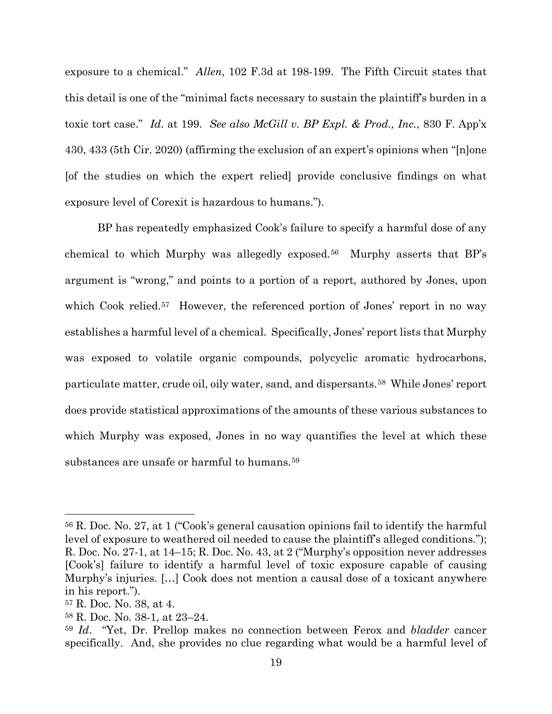exposure to a chemical." *Allen*, 102 F.3d at 198-199. The Fifth Circuit states that this detail is one of the "minimal facts necessary to sustain the plaintiff's burden in a toxic tort case." *Id*. at 199. *See also McGill v. BP Expl. & Prod., Inc.*, 830 F. App'x 430, 433 (5th Cir. 2020) (affirming the exclusion of an expert's opinions when "[n]one [of the studies on which the expert relied] provide conclusive findings on what exposure level of Corexit is hazardous to humans.").

BP has repeatedly emphasized Cook's failure to specify a harmful dose of any chemical to which Murphy was allegedly exposed.56 Murphy asserts that BP's argument is "wrong," and points to a portion of a report, authored by Jones, upon which Cook relied.<sup>57</sup> However, the referenced portion of Jones' report in no way establishes a harmful level of a chemical. Specifically, Jones' report lists that Murphy was exposed to volatile organic compounds, polycyclic aromatic hydrocarbons, particulate matter, crude oil, oily water, sand, and dispersants.58 While Jones' report does provide statistical approximations of the amounts of these various substances to which Murphy was exposed, Jones in no way quantifies the level at which these substances are unsafe or harmful to humans.59

<sup>56</sup> R. Doc. No. 27, at 1 ("Cook's general causation opinions fail to identify the harmful level of exposure to weathered oil needed to cause the plaintiff's alleged conditions."); R. Doc. No. 27-1, at 14–15; R. Doc. No. 43, at 2 ("Murphy's opposition never addresses [Cook's] failure to identify a harmful level of toxic exposure capable of causing Murphy's injuries. […] Cook does not mention a causal dose of a toxicant anywhere in his report.").

<sup>57</sup> R. Doc. No. 38, at 4.

<sup>58</sup> R. Doc. No. 38-1, at 23–24.

<sup>59</sup> *Id*. "Yet, Dr. Prellop makes no connection between Ferox and *bladder* cancer specifically. And, she provides no clue regarding what would be a harmful level of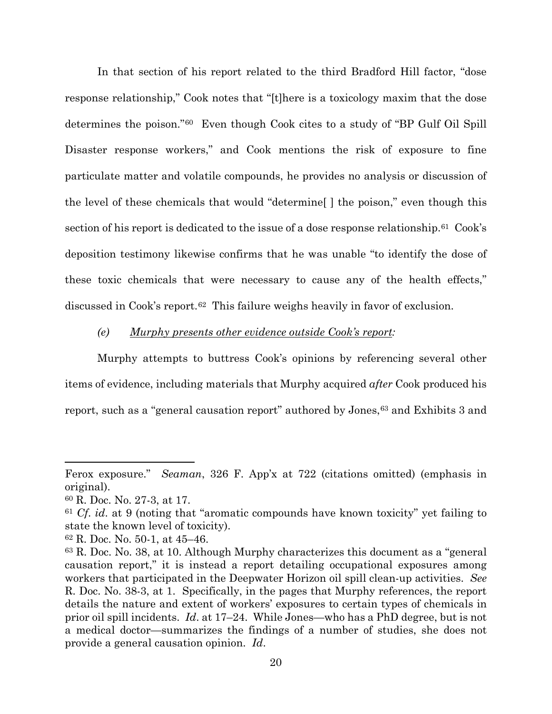In that section of his report related to the third Bradford Hill factor, "dose response relationship," Cook notes that "[t]here is a toxicology maxim that the dose determines the poison."60 Even though Cook cites to a study of "BP Gulf Oil Spill Disaster response workers," and Cook mentions the risk of exposure to fine particulate matter and volatile compounds, he provides no analysis or discussion of the level of these chemicals that would "determine[ ] the poison," even though this section of his report is dedicated to the issue of a dose response relationship.<sup>61</sup> Cook's deposition testimony likewise confirms that he was unable "to identify the dose of these toxic chemicals that were necessary to cause any of the health effects," discussed in Cook's report.62 This failure weighs heavily in favor of exclusion.

#### *(e) Murphy presents other evidence outside Cook's report:*

Murphy attempts to buttress Cook's opinions by referencing several other items of evidence, including materials that Murphy acquired *after* Cook produced his report, such as a "general causation report" authored by Jones,<sup>63</sup> and Exhibits 3 and

Ferox exposure." *Seaman*, 326 F. App'x at 722 (citations omitted) (emphasis in original).

<sup>60</sup> R. Doc. No. 27-3, at 17.

<sup>61</sup> *Cf*. *id*. at 9 (noting that "aromatic compounds have known toxicity" yet failing to state the known level of toxicity).

<sup>62</sup> R. Doc. No. 50-1, at 45–46.

<sup>63</sup> R. Doc. No. 38, at 10. Although Murphy characterizes this document as a "general causation report," it is instead a report detailing occupational exposures among workers that participated in the Deepwater Horizon oil spill clean-up activities. *See* R. Doc. No. 38-3, at 1. Specifically, in the pages that Murphy references, the report details the nature and extent of workers' exposures to certain types of chemicals in prior oil spill incidents. *Id*. at 17–24. While Jones—who has a PhD degree, but is not a medical doctor—summarizes the findings of a number of studies, she does not provide a general causation opinion. *Id*.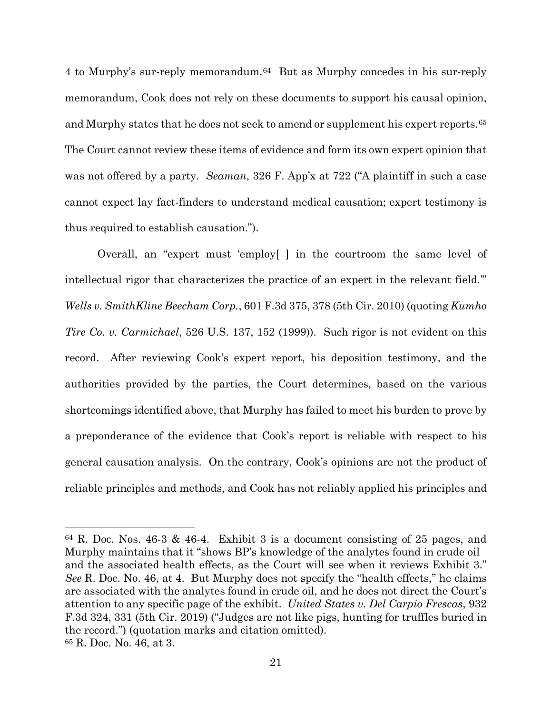4 to Murphy's sur-reply memorandum.64 But as Murphy concedes in his sur-reply memorandum, Cook does not rely on these documents to support his causal opinion, and Murphy states that he does not seek to amend or supplement his expert reports.65 The Court cannot review these items of evidence and form its own expert opinion that was not offered by a party. *Seaman*, 326 F. App'x at 722 ("A plaintiff in such a case cannot expect lay fact-finders to understand medical causation; expert testimony is thus required to establish causation.").

Overall, an "expert must 'employ[ ] in the courtroom the same level of intellectual rigor that characterizes the practice of an expert in the relevant field.'" *Wells v. SmithKline Beecham Corp.*, 601 F.3d 375, 378 (5th Cir. 2010) (quoting *Kumho Tire Co. v. Carmichael*, 526 U.S. 137, 152 (1999)). Such rigor is not evident on this record. After reviewing Cook's expert report, his deposition testimony, and the authorities provided by the parties, the Court determines, based on the various shortcomings identified above, that Murphy has failed to meet his burden to prove by a preponderance of the evidence that Cook's report is reliable with respect to his general causation analysis. On the contrary, Cook's opinions are not the product of reliable principles and methods, and Cook has not reliably applied his principles and

 $64$  R. Doc. Nos. 46-3 & 46-4. Exhibit 3 is a document consisting of 25 pages, and Murphy maintains that it "shows BP's knowledge of the analytes found in crude oil and the associated health effects, as the Court will see when it reviews Exhibit 3." *See* R. Doc. No. 46, at 4. But Murphy does not specify the "health effects," he claims are associated with the analytes found in crude oil, and he does not direct the Court's attention to any specific page of the exhibit. *United States v. Del Carpio Frescas*, 932 F.3d 324, 331 (5th Cir. 2019) ("Judges are not like pigs, hunting for truffles buried in the record.") (quotation marks and citation omitted). <sup>65</sup> R. Doc. No. 46, at 3.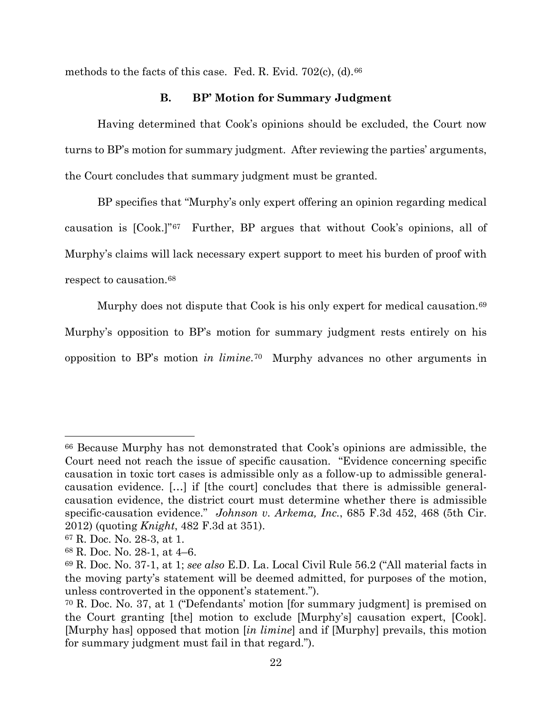methods to the facts of this case. Fed. R. Evid. 702(c), (d).<sup>66</sup>

# **B. BP' Motion for Summary Judgment**

Having determined that Cook's opinions should be excluded, the Court now turns to BP's motion for summary judgment. After reviewing the parties' arguments, the Court concludes that summary judgment must be granted.

BP specifies that "Murphy's only expert offering an opinion regarding medical causation is [Cook.]"67 Further, BP argues that without Cook's opinions, all of Murphy's claims will lack necessary expert support to meet his burden of proof with respect to causation.68

Murphy does not dispute that Cook is his only expert for medical causation.<sup>69</sup> Murphy's opposition to BP's motion for summary judgment rests entirely on his opposition to BP's motion *in limine*.70 Murphy advances no other arguments in

<sup>66</sup> Because Murphy has not demonstrated that Cook's opinions are admissible, the Court need not reach the issue of specific causation. "Evidence concerning specific causation in toxic tort cases is admissible only as a follow-up to admissible generalcausation evidence. […] if [the court] concludes that there is admissible generalcausation evidence, the district court must determine whether there is admissible specific-causation evidence." *Johnson v. Arkema, Inc.*, 685 F.3d 452, 468 (5th Cir. 2012) (quoting *Knight*, 482 F.3d at 351).

<sup>67</sup> R. Doc. No. 28-3, at 1.

<sup>68</sup> R. Doc. No. 28-1, at 4–6.

<sup>69</sup> R. Doc. No. 37-1, at 1; *see also* E.D. La. Local Civil Rule 56.2 ("All material facts in the moving party's statement will be deemed admitted, for purposes of the motion, unless controverted in the opponent's statement.").

<sup>70</sup> R. Doc. No. 37, at 1 ("Defendants' motion [for summary judgment] is premised on the Court granting [the] motion to exclude [Murphy's] causation expert, [Cook]. [Murphy has] opposed that motion [*in limine*] and if [Murphy] prevails, this motion for summary judgment must fail in that regard.").